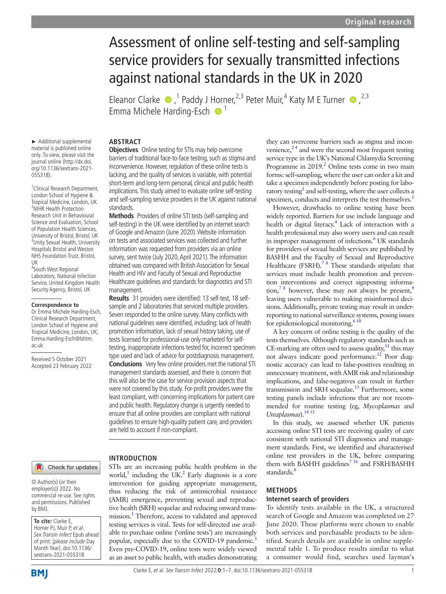# Assessment of online self-testing and self-sampling service providers for sexually transmitted infections against national standards in the UK in 2020

Eleanor Clarke  $\bullet$ , <sup>1</sup> Paddy J Horner, <sup>2, 3</sup> Peter Muir, <sup>4</sup> Katy M E Turner  $\bullet$ , <sup>2, 3</sup> Emma Michele Harding-Esch  $\bullet$ <sup>1</sup>

#### **ABSTRACT**

► Additional supplemental material is published online only. To view, please visit the journal online ([http://dx.doi.](http://dx.doi.org/10.1136/sextrans-2021-055318) [org/10.1136/sextrans-2021-](http://dx.doi.org/10.1136/sextrans-2021-055318) [055318](http://dx.doi.org/10.1136/sextrans-2021-055318)).

1 Clinical Research Department, London School of Hygiene & Tropical Medicine, London, UK <sup>2</sup>NIHR Health Protection Research Unit in Behavioural Science and Evaluation, School of Population Health Sciences, University of Bristol, Bristol, UK <sup>3</sup>Unity Sexual Health, University Hospitals Bristol and Weston NHS Foundation Trust, Bristol, UK

4 South West Regional Laboratory, National Infection Service, United Kingdom Health Security Agency, Bristol, UK

#### **Correspondence to**

Dr Emma Michele Harding-Esch, Clinical Research Department, London School of Hygiene and Tropical Medicine, London, UK; Emma.Harding-Esch@lshtm. ac.uk

Received 5 October 2021 Accepted 23 February 2022

## Check for updates

**INTRODUCTION**

© Author(s) (or their employer(s)) 2022. No commercial re-use. See rights and permissions. Published by BMJ.

**To cite:** Clarke E, Horner PJ, Muir P, et al. Sex Transm Infect Epub ahead of print: [please include Day Month Year]. doi:10.1136/ sextrans-2021-055318

barriers of traditional face-to-face testing, such as stigma and inconvenience. However, regulation of these online tests is lacking, and the quality of services is variable, with potential short-term and long-term personal, clinical and public health implications. This study aimed to evaluate online self-testing and self-sampling service providers in the UK against national standards.

**Methods** Providers of online STI tests (self-sampling and self-testing) in the UK were identified by an internet search of Google and Amazon (June 2020). Website information on tests and associated services was collected and further information was requested from providers via an online survey, sent twice (July 2020, April 2021). The information obtained was compared with British Association for Sexual Health and HIV and Faculty of Sexual and Reproductive Healthcare guidelines and standards for diagnostics and STI management.

**Results** 31 providers were identified: 13 self-test, 18 selfsample and 2 laboratories that serviced multiple providers. Seven responded to the online survey. Many conflicts with national guidelines were identified, including: lack of health promotion information, lack of sexual history taking, use of tests licensed for professional-use only marketed for selftesting, inappropriate infections tested for, incorrect specimen type used and lack of advice for postdiagnosis management. **Conclusions** Very few online providers met the national STI management standards assessed, and there is concern that this will also be the case for service provision aspects that were not covered by this study. For-profit providers were the least compliant, with concerning implications for patient care and public health. Regulatory change is urgently needed to ensure that all online providers are compliant with national guidelines to ensure high-quality patient care, and providers are held to account if non-compliant.

STIs are an increasing public health problem in the world,<sup>[1](#page-5-0)</sup> including the UK.<sup>[2](#page-5-1)</sup> Early diagnosis is a core intervention for guiding appropriate management, thus reducing the risk of antimicrobial resistance (AMR) emergence, preventing sexual and reproductive health (SRH) sequelae and reducing onward transmission.<sup>1</sup> Therefore, access to validated and approved testing services is vital. Tests for self-directed use available to purchase online ('online tests') are increasingly popular, especially due to the COVID-19 pandemic.<sup>3</sup> Even pre-COVID-19, online tests were widely viewed as an asset to public health, with studies demonstrating

**Objectives** Online testing for STIs may help overcome

Programme in 2019.<sup>2</sup> Online tests come in two main forms: self-sampling, where the user can order a kit and take a specimen independently before posting for laboratory testing<sup>5</sup> and self-testing, where the user collects a specimen, conducts and interprets the test themselves.<sup>5</sup> However, drawbacks to online testing have been widely reported. Barriers for use include language and health or digital literacy.<sup>4</sup> Lack of interaction with a health professional may also worry users and can result

they can overcome barriers such as stigma and inconvenience, $2<sup>4</sup>$  and were the second most frequent testing service type in the UK's National Chlamydia Screening

in improper management of infections.<sup>6</sup> UK standards for providers of sexual health services are published by BASHH and the Faculty of Sexual and Reproductive Healthcare (FSRH).<sup>78</sup> These standards stipulate that services must include health promotion and prevention interventions and correct signposting information,<sup>7 8</sup> however, these may not always be present,<sup>9</sup> leaving users vulnerable to making misinformed decisions. Additionally, private testing may result in underreporting to national surveillance systems, posing issues for epidemiological monitoring.<sup>610</sup>

A key concern of online testing is the quality of the tests themselves. Although regulatory standards such as CE-marking are often used to assess quality, $11$  this may not always indicate good performance.[12](#page-5-9) Poor diagnostic accuracy can lead to false-positives resulting in unnecessary treatment, with AMR risk and relationship implications, and false-negatives can result in further transmission and SRH sequalae.<sup>13</sup> Furthermore, some testing panels include infections that are not recommended for routine testing (eg, *Mycoplasmas* and Ureaplasmas).<sup>14 15</sup>

In this study, we assessed whether UK patients accessing online STI tests are receiving quality of care consistent with national STI diagnostics and management standards. First, we identified and characterised online test providers in the UK, before comparing them with BASHH guidelines<sup>7</sup> <sup>16</sup> and FSRH/BASHH standards.<sup>8</sup>

#### **METHODS**

#### **Internet search of providers**

To identify tests available in the UK, a structured search of Google and Amazon was completed on 27 June 2020. These platforms were chosen to enable both services and purchasable products to be identified. Search details are available in [online supple](https://dx.doi.org/10.1136/sextrans-2021-055318)[mental table 1](https://dx.doi.org/10.1136/sextrans-2021-055318). To produce results similar to what a consumer would find, searches used layman's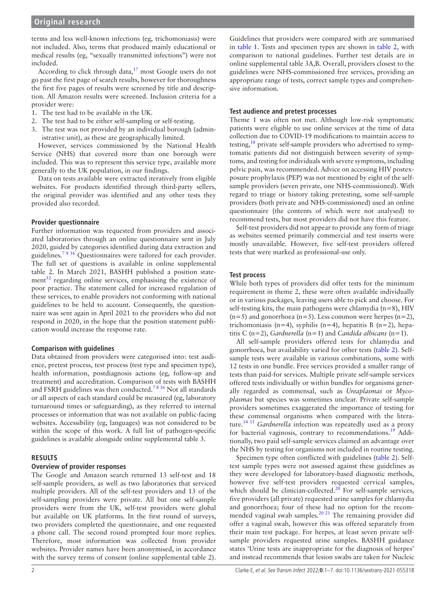terms and less well-known infections (eg, trichomoniasis) were not included. Also, terms that produced mainly educational or medical results (eg, "sexually transmitted infections") were not included.

According to click through data, $17$  most Google users do not go past the first page of search results, however for thoroughness the first five pages of results were screened by title and description. All Amazon results were screened. Inclusion criteria for a provider were:

- 1. The test had to be available in the UK.
- 2. The test had to be either self-sampling or self-testing.
- 3. The test was not provided by an individual borough (administrative unit), as these are geographically limited.

However, services commissioned by the National Health Service (NHS) that covered more than one borough were included. This was to represent this service type, available more generally to the UK population, in our findings.

Data on tests available were extracted iteratively from eligible websites. For products identified through third-party sellers, the original provider was identified and any other tests they provided also recorded.

#### **Provider questionnaire**

Further information was requested from providers and associated laboratories through an online questionnaire sent in July 2020, guided by categories identified during data extraction and guidelines[.7 8 16](#page-5-6) Questionnaires were tailored for each provider. The full set of questions is available in [online supplemental](https://dx.doi.org/10.1136/sextrans-2021-055318)  [table 2](https://dx.doi.org/10.1136/sextrans-2021-055318). In March 2021, BASHH published a position state- $ment<sup>12</sup>$  $ment<sup>12</sup>$  $ment<sup>12</sup>$  regarding online services, emphasising the existence of poor practice. The statement called for increased regulation of these services, to enable providers not conforming with national guidelines to be held to account. Consequently, the questionnaire was sent again in April 2021 to the providers who did not respond in 2020, in the hope that the position statement publication would increase the response rate.

#### **Comparison with guidelines**

Data obtained from providers were categorised into: test audience, pretest process, test process (test type and specimen type), health information, postdiagnosis actions (eg, follow-up and treatment) and accreditation. Comparison of tests with BASHH and FSRH guidelines was then conducted[.7 8 16](#page-5-6) Not all standards or all aspects of each standard could be measured (eg, laboratory turnaround times or safeguarding), as they referred to internal processes or information that was not available on public-facing websites. Accessibility (eg, languages) was not considered to be within the scope of this work. A full list of pathogen-specific guidelines is available alongside [online supplemental table 3](https://dx.doi.org/10.1136/sextrans-2021-055318).

#### **RESULTS**

#### **Overview of provider responses**

The Google and Amazon search returned 13 self-test and 18 self-sample providers, as well as two laboratories that serviced multiple providers. All of the self-test providers and 13 of the self-sampling providers were private. All but one self-sample providers were from the UK, self-test providers were global but available on UK platforms. In the first round of surveys, two providers completed the questionnaire, and one requested a phone call. The second round prompted four more replies. Therefore, most information was collected from provider websites. Provider names have been anonymised, in accordance with the survey terms of consent [\(online supplemental table 2](https://dx.doi.org/10.1136/sextrans-2021-055318)).

Guidelines that providers were compared with are summarised in [table](#page-2-0) 1. Tests and specimen types are shown in [table](#page-3-0) 2, with comparison to national guidelines. Further test details are in [online supplemental table 3A,B](https://dx.doi.org/10.1136/sextrans-2021-055318). Overall, providers closest to the guidelines were NHS-commissioned free services, providing an appropriate range of tests, correct sample types and comprehensive information.

#### **Test audience and pretest processes**

Theme 1 was often not met. Although low-risk symptomatic patients were eligible to use online services at the time of data collection due to COVID-19 modifications to maintain access to testing,<sup>[18](#page-5-14)</sup> private self-sample providers who advertised to symptomatic patients did not distinguish between severity of symptoms, and testing for individuals with severe symptoms, including pelvic pain, was recommended. Advice on accessing HIV postexposure prophylaxis (PEP) was not mentioned by eight of the selfsample providers (seven private, one NHS-commissioned). With regard to triage or history taking pretesting, some self-sample providers (both private and NHS-commissioned) used an online questionnaire (the contents of which were not analysed) to recommend tests, but most providers did not have this feature.

Self-test providers did not appear to provide any form of triage as websites seemed primarily commercial and test inserts were mostly unavailable. However, five self-test providers offered tests that were marked as professional-use only.

#### **Test process**

While both types of providers did offer tests for the minimum requirement in theme 2, these were often available individually or in various packages, leaving users able to pick and choose. For self-testing kits, the main pathogens were chlamydia  $(n=8)$ , HIV  $(n=5)$  and gonorrhoea  $(n=5)$ . Less common were herpes  $(n=2)$ , trichomoniasis (n=4), syphilis (n=4), hepatitis B (n=2), hepatitis C (n=2), *Gardnerella* (n=1) and *Candida albicans* (n=1).

All self-sample providers offered tests for chlamydia and gonorrhoea, but availability varied for other tests [\(table](#page-3-0) 2). Selfsample tests were available in various combinations, some with 12 tests in one bundle. Free services provided a smaller range of tests than paid-for services. Multiple private self-sample services offered tests individually or within bundles for organisms generally regarded as commensal, such as *Ureaplasmas* or *Mycoplasmas* but species was sometimes unclear. Private self-sample providers sometimes exaggerated the importance of testing for these commensal organisms when compared with the literature.[14 15](#page-5-11) *Gardnerella* infection was repeatedly used as a proxy for bacterial vaginosis, contrary to recommendations.<sup>19</sup> Additionally, two paid self-sample services claimed an advantage over the NHS by testing for organisms not included in routine testing.

Specimen type often conflicted with guidelines ([table](#page-3-0) 2). Selftest sample types were not assessed against these guidelines as they were developed for laboratory-based diagnostic methods, however five self-test providers requested cervical samples, which should be clinician-collected.<sup>[20](#page-5-16)</sup> For self-sample services, five providers (all private) requested urine samples for chlamydia and gonorrhoea; four of these had no option for the recom-mended vaginal swab samples.<sup>[20 21](#page-5-16)</sup> The remaining provider did offer a vaginal swab, however this was offered separately from their main test package. For herpes, at least seven private selfsample providers requested urine samples. BASHH guidance states 'Urine tests are inappropriate for the diagnosis of herpes' and instead recommends that lesion swabs are taken for Nucleic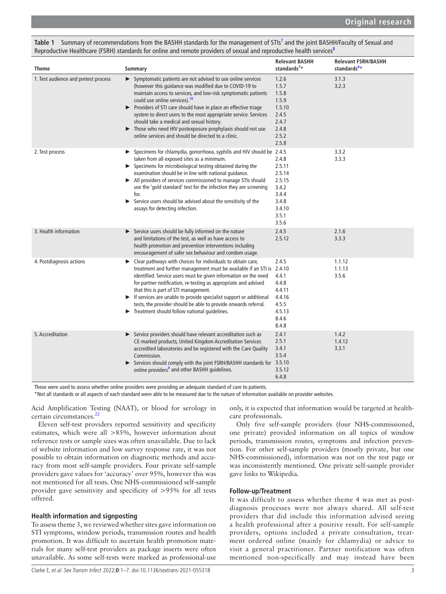#### <span id="page-2-0"></span>Table 1 Summary of recommendations from the BASHH standards for the management of STIs<sup>7</sup> and the joint BASHH/Faculty of Sexual and Reproductive Healthcare (FSRH) standards for online and remote providers of sexual and reproductive health services<sup>[8](#page-5-12)</sup>

| <b>Theme</b>                         | <b>Summary</b>                                                                                                                                                                                                                                                                                                                                                                                                                                                                                                                                 | <b>Relevant BASHH</b><br>standards <sup>7</sup> *                                          | <b>Relevant FSRH/BASHH</b><br>standards <sup>8</sup> * |
|--------------------------------------|------------------------------------------------------------------------------------------------------------------------------------------------------------------------------------------------------------------------------------------------------------------------------------------------------------------------------------------------------------------------------------------------------------------------------------------------------------------------------------------------------------------------------------------------|--------------------------------------------------------------------------------------------|--------------------------------------------------------|
| 1. Test audience and pretest process | > Symptomatic patients are not advised to use online services<br>(however this quidance was modified due to COVID-19 to<br>maintain access to services, and low-risk symptomatic patients<br>could use online services). <sup>18</sup><br>Providers of STI care should have in place an effective triage<br>system to direct users to the most appropriate service. Services<br>should take a medical and sexual history.<br>Those who need HIV postexposure prophylaxis should not use<br>online services and should be directed to a clinic. | 1.2.6<br>1.5.7<br>1.5.8<br>1.5.9<br>1.5.10<br>2.4.5<br>2.4.7<br>2.4.8<br>2.5.2<br>2.5.8    | 3.1.3<br>3.2.3                                         |
| 2. Test process                      | > Specimens for chlamydia, gonorrhoea, syphilis and HIV should be 2.4.5<br>taken from all exposed sites as a minimum.<br>$\triangleright$ Specimens for microbiological testing obtained during the<br>examination should be in line with national quidance.<br>All providers of services commissioned to manage STIs should<br>use the 'gold standard' test for the infection they are screening<br>for.<br>Service users should be advised about the sensitivity of the<br>assays for detecting infection.                                   | 2.4.8<br>2.5.11<br>2.5.14<br>2.5.15<br>3.4.2<br>3.4.4<br>3.4.8<br>3.4.10<br>3.5.1<br>3.5.6 | 3.3.2<br>3.3.3                                         |
| 3. Health information                | Service users should be fully informed on the nature<br>and limitations of the test, as well as have access to<br>health promotion and prevention interventions including<br>encouragement of safer sex behaviour and condom usage.                                                                                                                                                                                                                                                                                                            | 2.4.5<br>2.5.12                                                                            | 2.1.6<br>3.3.3                                         |
| 4. Postdiagnosis actions             | $\blacktriangleright$ Clear pathways with choices for individuals to obtain care,<br>treatment and further management must be available if an STI is 2.4.10<br>identified. Service users must be given information on the need<br>for partner notification, re-testing as appropriate and advised<br>that this is part of STI management.<br>If services are unable to provide specialist support or additional<br>tests, the provider should be able to provide onwards referral.<br>Treatment should follow national quidelines.             | 2.4.5<br>4.4.1<br>4.4.8<br>4.4.11<br>4.4.16<br>4.5.5<br>4.5.13<br>8.4.6<br>8.4.8           | 1.1.12<br>1.1.13<br>3.5.6                              |
| 5. Accreditation                     | Service providers should have relevant accreditation such as<br>CE-marked products, United Kingdom Accreditation Services<br>accredited laboratories and be registered with the Care Quality<br>Commission.<br>Services should comply with the joint FSRH/BASHH standards for 3.5.10<br>online providers <sup>8</sup> and other BASHH guidelines.                                                                                                                                                                                              | 2.4.1<br>2.5.1<br>3.4.1<br>3.5.4<br>3.5.12<br>6.4.8                                        | 1.4.2<br>1.4.12<br>3.3.1                               |

These were used to assess whether online providers were providing an adequate standard of care to patients.

\*Not all standards or all aspects of each standard were able to be measured due to the nature of information available on provider websites.

Acid Amplification Testing (NAAT), or blood for serology in certain circumstances.<sup>2</sup>

Eleven self-test providers reported sensitivity and specificity estimates, which were all >85%, however information about reference tests or sample sizes was often unavailable. Due to lack of website information and low survey response rate, it was not possible to obtain information on diagnostic methods and accuracy from most self-sample providers. Four private self-sample providers gave values for 'accuracy' over 95%, however this was not mentioned for all tests. One NHS-commissioned self-sample provider gave sensitivity and specificity of >95% for all tests offered.

#### **Health information and signposting**

To assess theme 3, we reviewed whether sites gave information on STI symptoms, window periods, transmission routes and health promotion. It was difficult to ascertain health promotion materials for many self-test providers as package inserts were often unavailable. As some self-tests were marked as professional-use

only, it is expected that information would be targeted at healthcare professionals.

Only five self-sample providers (four NHS-commissioned, one private) provided information on all topics of window periods, transmission routes, symptoms and infection prevention. For other self-sample providers (mostly private, but one NHS-commissioned), information was not on the test page or was inconsistently mentioned. One private self-sample provider gave links to Wikipedia.

#### **Follow-up/Treatment**

It was difficult to assess whether theme 4 was met as postdiagnosis processes were not always shared. All self-test providers that did include this information advised seeing a health professional after a positive result. For self-sample providers, options included a private consultation, treatment ordered online (mainly for chlamydia) or advice to visit a general practitioner. Partner notification was often mentioned non-specifically and may instead have been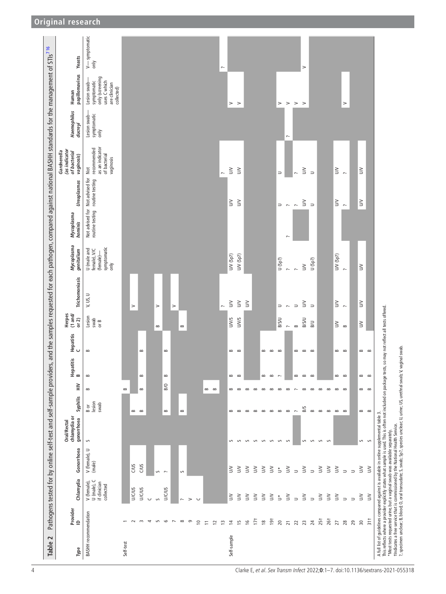<span id="page-3-0"></span>

| $\mathbf{\Omega}$<br>Table  |                                   |                                                         | Pathogens tested for by online self-test and self-sample provide                                                                                                                                                                                   |                                           |                               |                                             |                |                                                                              |                              |                          |                                                                 |                                    |                                    |                                                                    |                                     | rs, and the samples requested for each pathogen, compared against national BASHH standards for the management of STIs <sup>716</sup> |                           |
|-----------------------------|-----------------------------------|---------------------------------------------------------|----------------------------------------------------------------------------------------------------------------------------------------------------------------------------------------------------------------------------------------------------|-------------------------------------------|-------------------------------|---------------------------------------------|----------------|------------------------------------------------------------------------------|------------------------------|--------------------------|-----------------------------------------------------------------|------------------------------------|------------------------------------|--------------------------------------------------------------------|-------------------------------------|--------------------------------------------------------------------------------------------------------------------------------------|---------------------------|
| Type                        | Provider<br>$\triangleq$          | Chlamydia                                               | Gonorrhoea                                                                                                                                                                                                                                         | chlamydia or<br>gonorrhoea<br>Oral/Rectal | Syphilis                      | $\geqq$                                     | Hepatitis<br>B | Hepatitis<br>C                                                               | Herpes<br>(1 and/<br>or $2)$ | Trichomoniasis           | Mycoplasma<br>genitalium                                        | Mycoplasma<br>hominis              | Ureaplasmas                        | (as indicator<br>of bacterial<br>Gardnerella<br>vaginosis)         | Haemophilus<br>ducreyi              | papillomavirus<br>Human                                                                                                              | Yeasts                    |
| <b>BASHH</b> recommendation |                                   | U (male), C<br>if clinician<br>V (female),<br>collected | V (female), U<br>(male)                                                                                                                                                                                                                            | $\mathsf{\Omega}$                         | lesion<br>swab<br>B or        | $\bf{m}$<br>$\bf{m}$                        |                | $\bf{m}$                                                                     | Lesion<br>swab<br>or B       | V, US, U                 | symptomatic<br>only<br>U (male and<br>female), V/C<br>(female)- | Not advised for<br>routine testing | Not advised for<br>routine testing | as an indicator<br>recommended<br>of bacterial<br>vaginosis<br>Not | Lesion swab-<br>symptomatic<br>only | only (screening<br>uses C which<br>symptomatic<br>Lesion swab-<br>are clinician<br>collected)                                        | $V$ — symptomatic<br>only |
| Self-test                   |                                   |                                                         |                                                                                                                                                                                                                                                    |                                           |                               | $\bf{m}$                                    |                |                                                                              |                              |                          |                                                                 |                                    |                                    |                                                                    |                                     |                                                                                                                                      |                           |
|                             | $\sim$<br>$\scriptstyle\sim$      | <b>U/C/US</b><br><b>U/C/US</b>                          | CULS<br>CUS                                                                                                                                                                                                                                        |                                           | B<br>$\mathbf{\Omega}$        | $\bf{m}$<br>$\bf{m}$                        |                | $\bf{m}$                                                                     |                              | $\,>$                    |                                                                 |                                    |                                    |                                                                    |                                     |                                                                                                                                      |                           |
|                             | 4                                 | $\cup$                                                  |                                                                                                                                                                                                                                                    |                                           |                               |                                             |                |                                                                              |                              |                          |                                                                 |                                    |                                    |                                                                    |                                     |                                                                                                                                      |                           |
|                             | S                                 | $\sim$                                                  | S                                                                                                                                                                                                                                                  |                                           |                               |                                             |                |                                                                              | $\,$ $\,$                    | $\,>$                    |                                                                 |                                    |                                    |                                                                    |                                     |                                                                                                                                      |                           |
|                             | $\circ$                           | <b>U/C/US</b>                                           | $\sim$                                                                                                                                                                                                                                             |                                           | $\bf{m}$                      | $\bf{m}$<br>B/O                             |                | $\bf{m}$                                                                     |                              | $\,>$                    |                                                                 |                                    |                                    |                                                                    |                                     |                                                                                                                                      |                           |
|                             | $\infty$                          | $\sim$                                                  | S                                                                                                                                                                                                                                                  |                                           | $\bf{m}$                      |                                             |                |                                                                              | $\bf{m}$                     |                          |                                                                 |                                    |                                    |                                                                    |                                     |                                                                                                                                      |                           |
|                             | $\sigma$                          | $\geq$                                                  |                                                                                                                                                                                                                                                    |                                           |                               |                                             |                |                                                                              |                              |                          |                                                                 |                                    |                                    |                                                                    |                                     |                                                                                                                                      |                           |
|                             | $\approx$                         | $\cup$                                                  |                                                                                                                                                                                                                                                    |                                           |                               |                                             |                |                                                                              |                              |                          |                                                                 |                                    |                                    |                                                                    |                                     |                                                                                                                                      |                           |
|                             | $\overline{1}$                    |                                                         |                                                                                                                                                                                                                                                    |                                           |                               | $\bf{m}$                                    |                |                                                                              |                              |                          |                                                                 |                                    |                                    |                                                                    |                                     |                                                                                                                                      |                           |
|                             | 12<br>13                          |                                                         |                                                                                                                                                                                                                                                    |                                           |                               | $\mathbf{m}$                                |                |                                                                              |                              | $\sim$                   |                                                                 |                                    |                                    | $\sim$                                                             |                                     |                                                                                                                                      | ŗ.                        |
| Self-sample                 | $\overline{4}$                    | $\geq$                                                  | $\leq$                                                                                                                                                                                                                                             | S                                         | $\mathbf{\underline{\infty}}$ | $\bf{m}$<br>$\mathbf{\underline{\infty}}$   |                | $\bf{m}$                                                                     | uvvs                         | $\geq$                   | U/V (Sp?)                                                       |                                    | $\geqq$                            | $\geq$                                                             |                                     | $\,>$                                                                                                                                |                           |
|                             | 15                                | $\geq$                                                  | $\leq$                                                                                                                                                                                                                                             | $\sim$                                    | $\infty$                      | $\infty$<br>$\mathbf{\underline{\infty}}$   |                | $\mathbf{\Omega}$                                                            | <b>UVVS</b>                  | $\geq$                   | U/V (Sp?)                                                       |                                    | $\leq$                             | $\geq$                                                             |                                     | $\geq$                                                                                                                               |                           |
|                             | $\frac{6}{1}$                     | $\geq$                                                  | $\geq$                                                                                                                                                                                                                                             | $\sim$                                    | $\infty$                      | $\mathbf{\underline{\infty}}$               |                |                                                                              |                              | $\geqq$                  |                                                                 |                                    |                                    |                                                                    |                                     |                                                                                                                                      |                           |
|                             | $17+$                             | $\geqq$                                                 | $\geq$                                                                                                                                                                                                                                             | $\sim$                                    | $\mathbf{\underline{\infty}}$ | $\infty$                                    |                |                                                                              |                              |                          |                                                                 |                                    |                                    |                                                                    |                                     |                                                                                                                                      |                           |
|                             | $\frac{8}{16}$                    | $\geqq$                                                 | $\leq$                                                                                                                                                                                                                                             | $\sim$                                    | $\bf{m}$                      | $\bf{m}$<br>$\bf{m}$                        |                | $\begin{array}{ccc} \hline \mathbf{a} & \mathbf{b} & \mathbf{c} \end{array}$ |                              |                          |                                                                 |                                    |                                    |                                                                    |                                     |                                                                                                                                      |                           |
|                             | 191                               | $\geq$                                                  | $\leq$                                                                                                                                                                                                                                             | $\sim$                                    | $\mathbf{\Omega}$             | $\bf{m}$<br>$\,$ $\,$                       |                |                                                                              |                              |                          |                                                                 |                                    |                                    |                                                                    |                                     |                                                                                                                                      |                           |
|                             | 20                                | $\stackrel{*}{\supset}$                                 | $\stackrel{*}{\supset}$                                                                                                                                                                                                                            | $\mathsf{\Omega}$                         | $\,$ $\,$                     | $\sim$<br>$\,$ $\,$                         |                |                                                                              | <b>DIS/B</b>                 | $\Rightarrow$            | U (Sp?)                                                         |                                    | $\Rightarrow$                      | $\Rightarrow$                                                      |                                     | $\,>$                                                                                                                                |                           |
|                             | $\overline{21}$<br>$\overline{2}$ | $\geqq$                                                 | $\leq$                                                                                                                                                                                                                                             | S                                         | $\bf{m}$                      | $\,$ $\,$                                   |                |                                                                              | $\sim$                       | $\sim$                   | $\sim$                                                          | $\sim$                             | $\sim$ $\sim$                      |                                                                    | $\sim$                              | $\geq$                                                                                                                               |                           |
|                             | 23                                | $\geqq$<br>$\Rightarrow$                                | $\geq$<br>$\Rightarrow$                                                                                                                                                                                                                            | $\sim$                                    | B/S<br>$\sim$                 | $\bf{m}$<br>$\,$ $\,$<br>$\infty$<br>$\sim$ |                | $\bf{m}$<br>$\mathbf{\Omega}$                                                | <b>B/S/U</b><br>$\approx$    | $\geqq$<br>$\Rightarrow$ | $\geq$<br>$\sim$                                                |                                    | $\leq$                             | $\leq$<br>$\sim$                                                   |                                     | $>$ $>$                                                                                                                              | $\,>$                     |
|                             | 24                                | $\Rightarrow$                                           | $\Rightarrow$                                                                                                                                                                                                                                      | $\sim$                                    | $\bf{m}$                      | $\mathbf{\Omega}$<br>$\bf{m}$               |                | $\mathbf{\Omega}$                                                            | B/U                          | $\Rightarrow$            | U (Sp?)                                                         |                                    | $\Rightarrow$                      | $\Rightarrow$                                                      |                                     |                                                                                                                                      |                           |
|                             | 25 <sup>†</sup>                   | $\geq$                                                  | $\geq$                                                                                                                                                                                                                                             | $\sim$                                    | $\bf{m}$                      | $\mathbf{\Omega}$                           |                |                                                                              |                              |                          |                                                                 |                                    |                                    |                                                                    |                                     |                                                                                                                                      |                           |
|                             | 26†                               | $\geqq$                                                 | $\geq$                                                                                                                                                                                                                                             | S                                         | $\,$ $\,$                     | $\mathbf{\Omega}$                           |                |                                                                              |                              |                          |                                                                 |                                    |                                    |                                                                    |                                     |                                                                                                                                      |                           |
|                             | $\overline{27}$                   | $\geqq$                                                 | $\leq$                                                                                                                                                                                                                                             |                                           | $\mathbf{m}$                  | $\bf{m}$<br>$\bf{m}$                        |                | $\omega$ $\omega$                                                            | $\geq$                       | $\leq$                   | U/V (Sp?)                                                       |                                    | $\geqq$                            | $\geq$                                                             |                                     |                                                                                                                                      |                           |
|                             | 28                                | $\Rightarrow$                                           | $\Rightarrow$                                                                                                                                                                                                                                      |                                           | $\blacksquare$                | $\infty$<br>$\infty$                        |                |                                                                              | $\bf{m}$                     | $\sim$                   | $\sim$                                                          |                                    | $\sim$                             | $\sim$                                                             |                                     | $\geq$                                                                                                                               |                           |
|                             | 29                                | $\Rightarrow$                                           | $\Rightarrow$                                                                                                                                                                                                                                      |                                           |                               |                                             |                |                                                                              |                              |                          |                                                                 |                                    |                                    |                                                                    |                                     |                                                                                                                                      |                           |
|                             | $30^{\circ}$                      | $\geq$                                                  | $\geq$                                                                                                                                                                                                                                             | S                                         | $\omega$ $\omega$             | $\bf{m}$<br>$\omega$ $\omega$               |                | $\begin{matrix} 1 & 1 \\ 1 & 1 \end{matrix}$                                 | $\geq$                       | $\geq$                   | $\geq$                                                          |                                    | $\leq$                             | $\geq$                                                             |                                     |                                                                                                                                      |                           |
|                             | $31+$                             | $\geq$                                                  | $\leq$                                                                                                                                                                                                                                             | $\backsim$                                |                               | $\blacksquare$                              |                |                                                                              |                              |                          |                                                                 |                                    |                                    |                                                                    |                                     |                                                                                                                                      |                           |
|                             |                                   |                                                         | This reflects where a provider explicity states what sample is used. This is often not included on package tests, so may not reflect all tests offered.<br>A full list of guidelines compared against is available in online supplemental table 3. |                                           |                               |                                             |                |                                                                              |                              |                          |                                                                 |                                    |                                    |                                                                    |                                     |                                                                                                                                      |                           |
|                             |                                   |                                                         | *Most tests requested urine, but a vaginal swab was available separately.                                                                                                                                                                          |                                           |                               |                                             |                |                                                                              |                              |                          |                                                                 |                                    |                                    |                                                                    |                                     |                                                                                                                                      |                           |
|                             |                                   |                                                         | 7, specimen unclear; B, blood; O, oral transudate; S, swab; Sp?, species unclear; U, urine; US, urethral swab; V, vaginal swab.<br>findicates a free service that is commissioned by the National Health Service.                                  |                                           |                               |                                             |                |                                                                              |                              |                          |                                                                 |                                    |                                    |                                                                    |                                     |                                                                                                                                      |                           |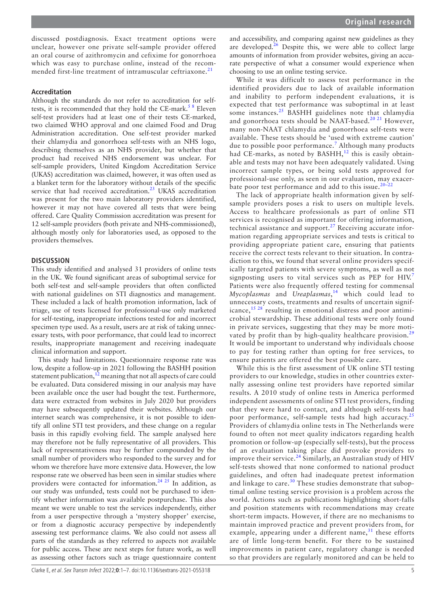discussed postdiagnosis. Exact treatment options were unclear, however one private self-sample provider offered an oral course of azithromycin and cefixime for gonorrhoea which was easy to purchase online, instead of the recom-mended first-line treatment of intramuscular ceftriaxone.<sup>[21](#page-5-18)</sup>

#### **Accreditation**

Although the standards do not refer to accreditation for selftests, it is recommended that they hold the CE-mark.<sup>58</sup> Eleven self-test providers had at least one of their tests CE-marked, two claimed WHO approval and one claimed Food and Drug Administration accreditation. One self-test provider marked their chlamydia and gonorrhoea self-tests with an NHS logo, describing themselves as an NHS provider, but whether that product had received NHS endorsement was unclear. For self-sample providers, United Kingdom Accreditation Service (UKAS) accreditation was claimed, however, it was often used as a blanket term for the laboratory without details of the specific service that had received accreditation.<sup>23</sup> UKAS accreditation was present for the two main laboratory providers identified, however it may not have covered all tests that were being offered. Care Quality Commission accreditation was present for 12 self-sample providers (both private and NHS-commissioned), although mostly only for laboratories used, as opposed to the providers themselves.

#### **DISCUSSION**

This study identified and analysed 31 providers of online tests in the UK. We found significant areas of suboptimal service for both self-test and self-sample providers that often conflicted with national guidelines on STI diagnostics and management. These included a lack of health promotion information, lack of triage, use of tests licensed for professional-use only marketed for self-testing, inappropriate infections tested for and incorrect specimen type used. As a result, users are at risk of taking unnecessary tests, with poor performance, that could lead to incorrect results, inappropriate management and receiving inadequate clinical information and support.

This study had limitations. Questionnaire response rate was low, despite a follow-up in 2021 following the BASHH position statement publication, $12$  meaning that not all aspects of care could be evaluated. Data considered missing in our analysis may have been available once the user had bought the test. Furthermore, data were extracted from websites in July 2020 but providers may have subsequently updated their websites. Although our internet search was comprehensive, it is not possible to identify all online STI test providers, and these change on a regular basis in this rapidly evolving field. The sample analysed here may therefore not be fully representative of all providers. This lack of representativeness may be further compounded by the small number of providers who responded to the survey and for whom we therefore have more extensive data. However, the low response rate we observed has been seen in similar studies where providers were contacted for information.<sup>24 25</sup> In addition, as our study was unfunded, tests could not be purchased to identify whether information was available postpurchase. This also meant we were unable to test the services independently, either from a user perspective through a 'mystery shopper' exercise, or from a diagnostic accuracy perspective by independently assessing test performance claims. We also could not assess all parts of the standards as they referred to aspects not available for public access. These are next steps for future work, as well as assessing other factors such as triage questionnaire content

and accessibility, and comparing against new guidelines as they are developed.<sup>26</sup> Despite this, we were able to collect large amounts of information from provider websites, giving an accurate perspective of what a consumer would experience when choosing to use an online testing service.

While it was difficult to assess test performance in the identified providers due to lack of available information and inability to perform independent evaluations, it is expected that test performance was suboptimal in at least some instances.<sup>[25](#page-6-3)</sup> BASHH guidelines note that chlamydia and gonorrhoea tests should be NAAT-based.<sup>[20 21](#page-5-16)</sup> However, many non-NAAT chlamydia and gonorrhoea self-tests were available. These tests should be 'used with extreme caution' due to possible poor performance.<sup>[7](#page-5-6)</sup> Although many products had CE-marks, as noted by BASHH,<sup>[12](#page-5-9)</sup> this is easily obtainable and tests may not have been adequately validated. Using incorrect sample types, or being sold tests approved for professional-use only, as seen in our evaluation, may exacerbate poor test performance and add to this issue. $20-22$ 

The lack of appropriate health information given by selfsample providers poses a risk to users on multiple levels. Access to healthcare professionals as part of online STI services is recognised as important for offering information, technical assistance and support.<sup>[27](#page-6-4)</sup> Receiving accurate information regarding appropriate services and tests is critical to providing appropriate patient care, ensuring that patients receive the correct tests relevant to their situation. In contradiction to this, we found that several online providers specifically targeted patients with severe symptoms, as well as not signposting users to vital services such as PEP for HIV.<sup>[7](#page-5-6)</sup> Patients were also frequently offered testing for commensal *Mycoplasmas* and *Ureaplasmas*, [14](#page-5-11) which could lead to unnecessary costs, treatments and results of uncertain signif-icance,<sup>[15 28](#page-5-19)</sup> resulting in emotional distress and poor antimicrobial stewardship. These additional tests were only found in private services, suggesting that they may be more moti-vated by profit than by high-quality healthcare provision.<sup>[29](#page-6-5)</sup> It would be important to understand why individuals choose to pay for testing rather than opting for free services, to ensure patients are offered the best possible care.

While this is the first assessment of UK online STI testing providers to our knowledge, studies in other countries externally assessing online test providers have reported similar results. A 2010 study of online tests in America performed independent assessments of online STI test providers, finding that they were hard to contact, and although self-tests had poor performance, self-sample tests had high accuracy.<sup>[25](#page-6-3)</sup> Providers of chlamydia online tests in The Netherlands were found to often not meet quality indicators regarding health promotion or follow-up (especially self-tests), but the process of an evaluation taking place did provoke providers to improve their service.<sup>[24](#page-6-1)</sup> Similarly, an Australian study of HIV self-tests showed that none conformed to national product guidelines, and often had inadequate pretest information and linkage to care.<sup>[30](#page-6-6)</sup> These studies demonstrate that suboptimal online testing service provision is a problem across the world. Actions such as publications highlighting short-falls and position statements with recommendations may create short-term impacts. However, if there are no mechanisms to maintain improved practice and prevent providers from, for example, appearing under a different name, $31$  these efforts are of little long-term benefit. For there to be sustained improvements in patient care, regulatory change is needed so that providers are regularly monitored and can be held to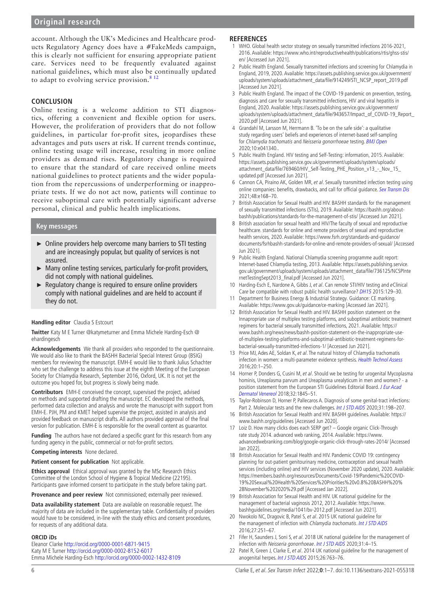account. Although the UK's Medicines and Healthcare products Regulatory Agency does have a #FakeMeds campaign, this is clearly not sufficient for ensuring appropriate patient care. Services need to be frequently evaluated against national guidelines, which must also be continually updated to adapt to evolving service provision. $8^{12}$ 

### **CONCLUSION**

Online testing is a welcome addition to STI diagnostics, offering a convenient and flexible option for users. However, the proliferation of providers that do not follow guidelines, in particular for-profit sites, jeopardises these advantages and puts users at risk. If current trends continue, online testing usage will increase, resulting in more online providers as demand rises. Regulatory change is required to ensure that the standard of care received online meets national guidelines to protect patients and the wider population from the repercussions of underperforming or inappropriate tests. If we do not act now, patients will continue to receive suboptimal care with potentially significant adverse personal, clinical and public health implications.

#### **Key messages**

- ► Online providers help overcome many barriers to STI testing and are increasingly popular, but quality of services is not assured.
- ► Many online testing services, particularly for-profit providers, did not comply with national guidelines.
- $\blacktriangleright$  Regulatory change is reguired to ensure online providers comply with national guidelines and are held to account if they do not.

#### **Handling editor** Claudia S Estcourt

**Twitter** Katy M E Turner [@katymeturner](https://twitter.com/katymeturner) and Emma Michele Harding-Esch [@](https://twitter.com/ehardingesch) [ehardingesch](https://twitter.com/ehardingesch)

**Acknowledgements** We thank all providers who responded to the questionnaire. We would also like to thank the BASHH Bacterial Special Interest Group (BSIG) members for reviewing the manuscript. EMH-E would like to thank Julius Schachter who set the challenge to address this issue at the eighth Meeting of the European Society for Chlamydia Research, September 2016, Oxford, UK. It is not yet the outcome you hoped for, but progress is slowly being made.

**Contributors** EMH-E conceived the concept, supervised the project, advised on methods and supported drafting the manuscript. EC developed the methods, performed data collection and analysis and wrote the manuscript with support from EMH-E. PJH, PM and KMET helped supervise the project, assisted in analysis and provided feedback on manuscript drafts. All authors provided approval of the final version for publication. EMH-E is responsible for the overall content as guarantor.

**Funding** The authors have not declared a specific grant for this research from any funding agency in the public, commercial or not-for-profit sectors.

#### **Competing interests** None declared.

**Patient consent for publication** Not applicable.

**Ethics approval** Ethical approval was granted by the MSc Research Ethics Committee of the London School of Hygiene & Tropical Medicine (22195). Participants gave informed consent to participate in the study before taking part.

**Provenance and peer review** Not commissioned; externally peer reviewed.

**Data availability statement** Data are available on reasonable request. The majority of data are included in the supplementary table. Confidentiality of providers would have to be considered, in-line with the study ethics and consent procedures, for requests of any additional data.

#### **ORCID iDs**

Eleanor Clarke <http://orcid.org/0000-0001-6871-9415> Katy M E Turner <http://orcid.org/0000-0002-8152-6017> Emma Michele Harding-Esch <http://orcid.org/0000-0002-1432-8109>

#### **REFERENCES**

- <span id="page-5-0"></span>1 WHO. Global health sector strategy on sexually transmitted infections 2016-2021, 2016. Available: [https://www.who.int/reproductivehealth/publications/rtis/ghss-stis/](https://www.who.int/reproductivehealth/publications/rtis/ghss-stis/en/) [en/](https://www.who.int/reproductivehealth/publications/rtis/ghss-stis/en/) [Accessed Jun 2021].
- <span id="page-5-1"></span>2 Public Health England. Sexually transmitted infections and screening for Chlamydia in England, 2019, 2020. Available: [https://assets.publishing.service.gov.uk/government/](https://assets.publishing.service.gov.uk/government/uploads/system/uploads/attachment_data/file/914249/STI_NCSP_report_2019.pdf) uploads/system/uploads/attachment\_data/file/914249/STI\_NCSP\_report\_2019.pdf [Accessed Jun 2021].
- <span id="page-5-2"></span>3 Public Health England. The impact of the COVID-19 pandemic on prevention, testing, diagnosis and care for sexually transmitted infections, HIV and viral hepatitis in England, 2020. Available: [https://assets.publishing.service.gov.uk/government/](https://assets.publishing.service.gov.uk/government/uploads/system/uploads/attachment_data/file/943657/Impact_of_COVID-19_Report_2020.pdf) [uploads/system/uploads/attachment\\_data/file/943657/Impact\\_of\\_COVID-19\\_Report\\_](https://assets.publishing.service.gov.uk/government/uploads/system/uploads/attachment_data/file/943657/Impact_of_COVID-19_Report_2020.pdf) [2020.pdf](https://assets.publishing.service.gov.uk/government/uploads/system/uploads/attachment_data/file/943657/Impact_of_COVID-19_Report_2020.pdf) [Accessed Jun 2021].
- <span id="page-5-4"></span>4 Grandahl M, Larsson M, Herrmann B. 'To be on the safe side': a qualitative study regarding users' beliefs and experiences of internet-based self-sampling for Chlamydia trachomatis and Neisseria gonorrhoeae testing. [BMJ Open](http://dx.doi.org/10.1136/bmjopen-2020-041340) 2020;10:e041340..
- <span id="page-5-3"></span>5 Public Health England. HIV testing and Self-Testing: information, 2015. Available: [https://assets.publishing.service.gov.uk/government/uploads/system/uploads/](https://assets.publishing.service.gov.uk/government/uploads/system/uploads/attachment_data/file/769460/HIV_Self-Testing_PHE_Position_v13_-_Nov_15_updated.pdf) [attachment\\_data/file/769460/HIV\\_Self-Testing\\_PHE\\_Position\\_v13\\_-\\_Nov\\_15\\_](https://assets.publishing.service.gov.uk/government/uploads/system/uploads/attachment_data/file/769460/HIV_Self-Testing_PHE_Position_v13_-_Nov_15_updated.pdf) [updated.pdf](https://assets.publishing.service.gov.uk/government/uploads/system/uploads/attachment_data/file/769460/HIV_Self-Testing_PHE_Position_v13_-_Nov_15_updated.pdf) [Accessed Jun 2021].
- <span id="page-5-5"></span>6 Cannon CA, Piraino AK, Golden MR, et al. Sexually transmitted infection testing using online companies: benefits, drawbacks, and call for official guidance. [Sex Transm Dis](http://dx.doi.org/10.1097/OLQ.0000000000001401) 2021;48:e168–70.
- <span id="page-5-6"></span>7 British Association for Sexual Health and HIV. BASHH standards for the management of sexually transmitted infections (STIs), 2019. Available: [https://bashh.org/about](https://bashh.org/about-bashh/publications/standards-for-the-management-of-stis/)[bashh/publications/standards-for-the-management-of-stis/](https://bashh.org/about-bashh/publications/standards-for-the-management-of-stis/) [Accessed Jun 2021].
- <span id="page-5-12"></span>8 British association for sexual health and HIV/The faculty of sexual and reproductive healthcare. standards for online and remote providers of sexual and reproductive health services, 2020. Available: [https://www.fsrh.org/standards-and-guidance/](https://www.fsrh.org/standards-and-guidance/documents/fsrhbashh-standards-for-online-and-remote-providers-of-sexual/) [documents/fsrhbashh-standards-for-online-and-remote-providers-of-sexual/](https://www.fsrh.org/standards-and-guidance/documents/fsrhbashh-standards-for-online-and-remote-providers-of-sexual/) [Accessed Jun 2021].
- <span id="page-5-7"></span>9 Public Health England. National Chlamydia screening programme audit report: Internet-based Chlamydia testing, 2013. Available: [https://assets.publishing.service.](https://assets.publishing.service.gov.uk/government/uploads/system/uploads/attachment_data/file/736125/NCSPInternetTestingSept2013_final.pdf) [gov.uk/government/uploads/system/uploads/attachment\\_data/file/736125/NCSPInte](https://assets.publishing.service.gov.uk/government/uploads/system/uploads/attachment_data/file/736125/NCSPInternetTestingSept2013_final.pdf) [rnetTestingSept2013\\_final.pdf](https://assets.publishing.service.gov.uk/government/uploads/system/uploads/attachment_data/file/736125/NCSPInternetTestingSept2013_final.pdf) [Accessed Jun 2021].
- 10 Harding-Esch E, Nardone A, Gibbs J, et al. Can remote STI/HIV testing and eClinical Care be compatible with robust public health surveillance? [DH15](http://dx.doi.org/10.1145/2750511.2750517) 2015:129–30.
- <span id="page-5-8"></span>11 Department for Business Energy & Industrial Strategy. Guidance: CE marking. Available:<https://www.gov.uk/guidance/ce-marking> [Accessed Jan 2021].
- <span id="page-5-9"></span>12 British Association for Sexual Health and HIV. BASHH position statement on the Innapropriate use of multiplex testing platforms, and suboptimal antibiotic treatment regimens for bacterial sexually transmitted infections, 2021. Available: [https://](https://www.bashh.org/news/news/bashh-position-statement-on-the-inappropriate-use-of-multiplex-testing-platforms-and-suboptimal-antibiotic-treatment-regimens-for-bacterial-sexually-transmitted-infections-1/) [www.bashh.org/news/news/bashh-position-statement-on-the-inappropriate-use](https://www.bashh.org/news/news/bashh-position-statement-on-the-inappropriate-use-of-multiplex-testing-platforms-and-suboptimal-antibiotic-treatment-regimens-for-bacterial-sexually-transmitted-infections-1/)[of-multiplex-testing-platforms-and-suboptimal-antibiotic-treatment-regimens-for](https://www.bashh.org/news/news/bashh-position-statement-on-the-inappropriate-use-of-multiplex-testing-platforms-and-suboptimal-antibiotic-treatment-regimens-for-bacterial-sexually-transmitted-infections-1/)[bacterial-sexually-transmitted-infections-1/](https://www.bashh.org/news/news/bashh-position-statement-on-the-inappropriate-use-of-multiplex-testing-platforms-and-suboptimal-antibiotic-treatment-regimens-for-bacterial-sexually-transmitted-infections-1/) [Accessed Jun 2021].
- <span id="page-5-10"></span>13 Price MJ, Ades AE, Soldan K, et al. The natural history of Chlamydia trachomatis infection in women: a multi-parameter evidence synthesis. [Health Technol Assess](http://dx.doi.org/10.3310/hta20220) 2016;20:1–250.
- <span id="page-5-11"></span>14 Horner P, Donders G, Cusini M, et al. Should we be testing for urogenital Mycoplasma hominis, Ureaplasma parvum and Ureaplasma urealyticum in men and women? - a position statement from the European STI Guidelines Editorial Board. J Eur Acad [Dermatol Venereol](http://dx.doi.org/10.1111/jdv.15146) 2018;32:1845–51.
- <span id="page-5-19"></span>15 Taylor-Robinson D, Horner P, Pallecaros A. Diagnosis of some genital-tract infections: Part 2. Molecular tests and the new challenges. [Int J STD AIDS](http://dx.doi.org/10.1177/0956462419890526) 2020;31:198-207.
- 16 British Association for Sexual Health and HIV. BASHH guidelines. Available: [https://](https://www.bashh.org/guidelines) [www.bashh.org/guidelines](https://www.bashh.org/guidelines) [Accessed Jun 2020].
- <span id="page-5-13"></span>17 Loiz D. How many clicks does each SERP get? – Google organic Click-Through rate study 2014. advanced web ranking, 2014. Available: [https://www.](https://www.advancedwebranking.com/blog/google-organic-click-through-rates-2014/) [advancedwebranking.com/blog/google-organic-click-through-rates-2014/](https://www.advancedwebranking.com/blog/google-organic-click-through-rates-2014/) [Accessed Jan 2022].
- <span id="page-5-14"></span>18 British Association for Sexual Health and HIV. Pandemic COVID 19: contingency planning for out-patient genitourinary medicine, contraception and sexual health services (including online) and HIV services (November 2020 update), 2020. Available: [https://members.bashh.org/resources/Documents/Covid-19/Pandemic%20COVID-](https://members.bashh.org/resources/Documents/Covid-19/Pandemic%20COVID-19%20Sexual%20Health%20Services%20Priorities%20v0.8%20BASHH%20%28November%202020%29.pdf)[19%20Sexual%20Health%20Services%20Priorities%20v0.8%20BASHH%20%](https://members.bashh.org/resources/Documents/Covid-19/Pandemic%20COVID-19%20Sexual%20Health%20Services%20Priorities%20v0.8%20BASHH%20%28November%202020%29.pdf) [28November%202020%29.pdf](https://members.bashh.org/resources/Documents/Covid-19/Pandemic%20COVID-19%20Sexual%20Health%20Services%20Priorities%20v0.8%20BASHH%20%28November%202020%29.pdf) [Accessed Jan 2022].
- <span id="page-5-15"></span>19 British Association for Sexual Health and HIV. UK national guideline for the management of bacterial vaginosis 2012, 2012. Available: [https://www.](https://www.bashhguidelines.org/media/1041/bv-2012.pdf) [bashhguidelines.org/media/1041/bv-2012.pdf](https://www.bashhguidelines.org/media/1041/bv-2012.pdf) [Accessed Jun 2021].
- <span id="page-5-16"></span>20 Nwokolo NC, Dragovic B, Patel S, et al. 2015 UK national guideline for the management of infection with Chlamydia trachomatis. [Int J STD AIDS](http://dx.doi.org/10.1177/0956462415615443) 2016;27:251–67.
- <span id="page-5-18"></span>21 Fifer H, Saunders J, Soni S, et al. 2018 UK national guideline for the management of infection with Neisseria gonorrhoeae. [Int J STD AIDS](http://dx.doi.org/10.1177/0956462419886775) 2020;31:4–15.
- <span id="page-5-17"></span>22 Patel R, Green J, Clarke E, et al. 2014 UK national quideline for the management of anogenital herpes. [Int J STD AIDS](http://dx.doi.org/10.1177/0956462415580512) 2015;26:763-76.